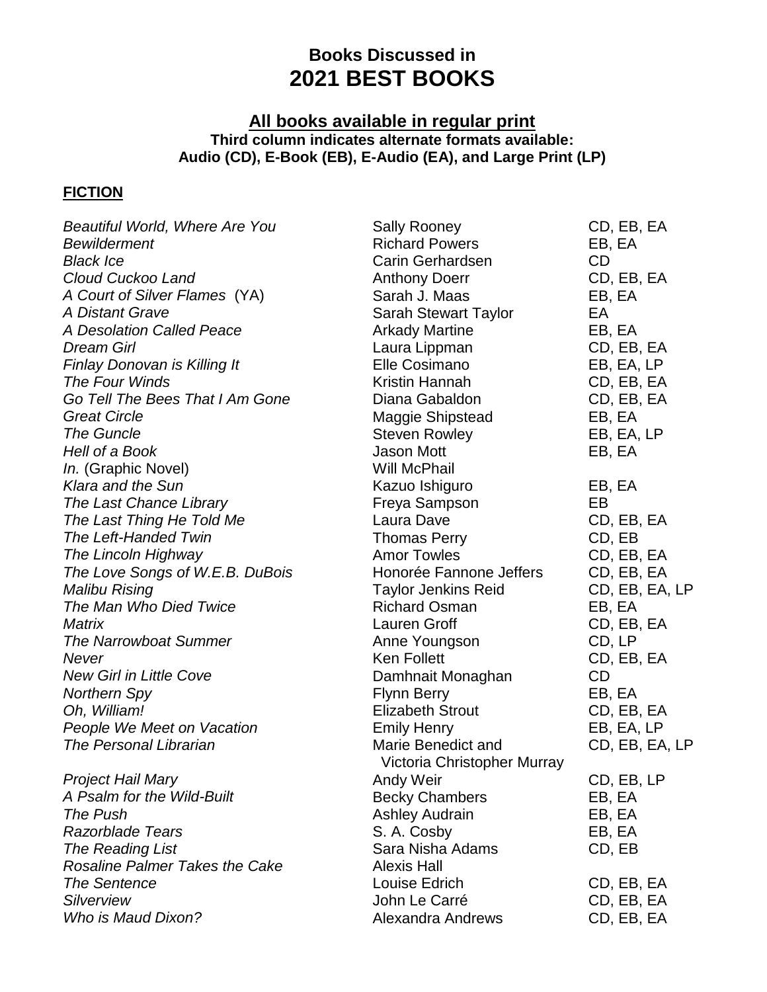## **Books Discussed in 2021 BEST BOOKS**

## **All books available in regular print Third column indicates alternate formats available: Audio (CD), E-Book (EB), E-Audio (EA), and Large Print (LP)**

## **FICTION**

| Beautiful World, Where Are You        | <b>Sally Rooney</b>         | CD, EB, EA     |
|---------------------------------------|-----------------------------|----------------|
| <b>Bewilderment</b>                   | <b>Richard Powers</b>       | EB, EA         |
| <b>Black Ice</b>                      | Carin Gerhardsen            | <b>CD</b>      |
| Cloud Cuckoo Land                     | <b>Anthony Doerr</b>        | CD, EB, EA     |
| A Court of Silver Flames (YA)         | Sarah J. Maas               | EB, EA         |
| A Distant Grave                       | <b>Sarah Stewart Taylor</b> | EA             |
| A Desolation Called Peace             | <b>Arkady Martine</b>       | EB, EA         |
| <b>Dream Girl</b>                     | Laura Lippman               | CD, EB, EA     |
| Finlay Donovan is Killing It          | Elle Cosimano               | EB, EA, LP     |
| The Four Winds                        | Kristin Hannah              | CD, EB, EA     |
| Go Tell The Bees That I Am Gone       | Diana Gabaldon              | CD, EB, EA     |
| <b>Great Circle</b>                   | <b>Maggie Shipstead</b>     | EB, EA         |
| <b>The Guncle</b>                     | <b>Steven Rowley</b>        | EB, EA, LP     |
| Hell of a Book                        | Jason Mott                  | EB, EA         |
| In. (Graphic Novel)                   | <b>Will McPhail</b>         |                |
| Klara and the Sun                     | Kazuo Ishiguro              | EB, EA         |
| The Last Chance Library               | Freya Sampson               | EB             |
| The Last Thing He Told Me             | Laura Dave                  | CD, EB, EA     |
| <b>The Left-Handed Twin</b>           | <b>Thomas Perry</b>         | CD, EB         |
| The Lincoln Highway                   | <b>Amor Towles</b>          | CD, EB, EA     |
| The Love Songs of W.E.B. DuBois       | Honorée Fannone Jeffers     | CD, EB, EA     |
| Malibu Rising                         | <b>Taylor Jenkins Reid</b>  | CD, EB, EA, LP |
| The Man Who Died Twice                | <b>Richard Osman</b>        | EB, EA         |
| Matrix                                | Lauren Groff                | CD, EB, EA     |
| <b>The Narrowboat Summer</b>          | Anne Youngson               | CD, LP         |
| <b>Never</b>                          | <b>Ken Follett</b>          | CD, EB, EA     |
| <b>New Girl in Little Cove</b>        | Damhnait Monaghan           | <b>CD</b>      |
| <b>Northern Spy</b>                   | <b>Flynn Berry</b>          | EB, EA         |
| Oh, William!                          | <b>Elizabeth Strout</b>     | CD, EB, EA     |
| People We Meet on Vacation            | <b>Emily Henry</b>          | EB, EA, LP     |
| The Personal Librarian                | Marie Benedict and          | CD, EB, EA, LP |
|                                       | Victoria Christopher Murray |                |
| <b>Project Hail Mary</b>              | Andy Weir                   | CD, EB, LP     |
| A Psalm for the Wild-Built            | <b>Becky Chambers</b>       | EB, EA         |
| The Push                              | <b>Ashley Audrain</b>       | EB, EA         |
| <b>Razorblade Tears</b>               | S. A. Cosby                 | EB, EA         |
| The Reading List                      | Sara Nisha Adams            | CD, EB         |
| <b>Rosaline Palmer Takes the Cake</b> | <b>Alexis Hall</b>          |                |
| <b>The Sentence</b>                   | Louise Edrich               | CD, EB, EA     |
| <b>Silverview</b>                     | John Le Carré               | CD, EB, EA     |
| Who is Maud Dixon?                    | <b>Alexandra Andrews</b>    | CD, EB, EA     |